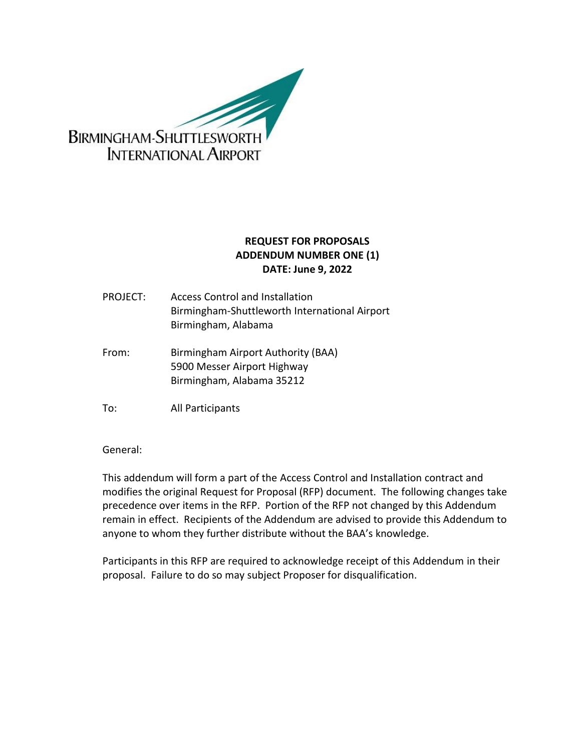

## **REQUEST FOR PROPOSALS ADDENDUM NUMBER ONE (1) DATE: June 9, 2022**

- PROJECT: Access Control and Installation Birmingham-Shuttleworth International Airport Birmingham, Alabama
- From: Birmingham Airport Authority (BAA) 5900 Messer Airport Highway Birmingham, Alabama 35212
- To: All Participants

General:

This addendum will form a part of the Access Control and Installation contract and modifies the original Request for Proposal (RFP) document. The following changes take precedence over items in the RFP. Portion of the RFP not changed by this Addendum remain in effect. Recipients of the Addendum are advised to provide this Addendum to anyone to whom they further distribute without the BAA's knowledge.

Participants in this RFP are required to acknowledge receipt of this Addendum in their proposal. Failure to do so may subject Proposer for disqualification.